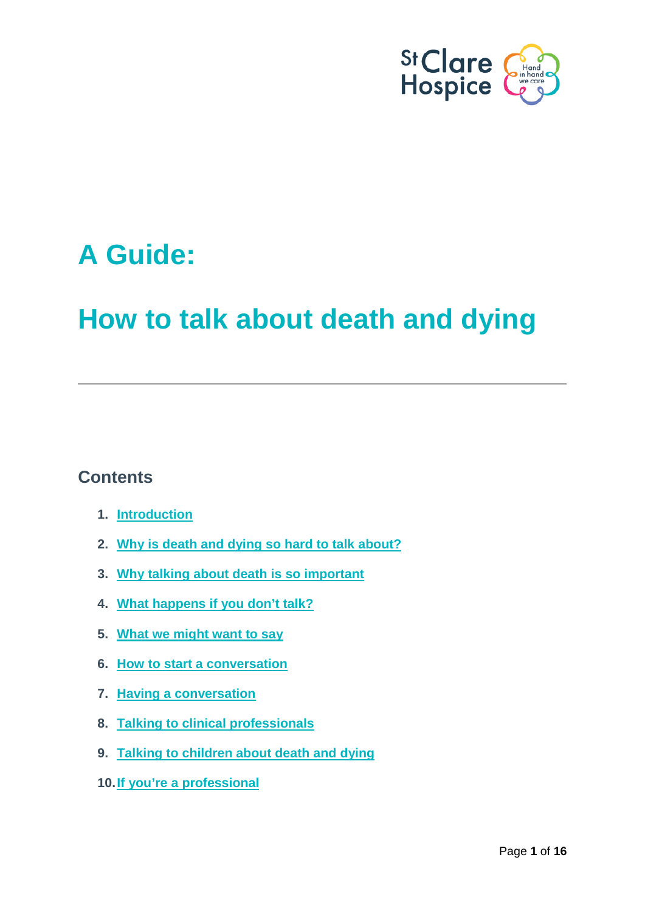

# **A Guide:**

# **How to talk about death and dying**

# **Contents**

- **1. [Introduction](#page-0-0)**
- **2. [Why is death and dying so hard to talk about?](#page-1-0)**
- **3. [Why talking about death is so important](#page-2-0)**
- **4. [What happens if you don't talk?](#page-4-0)**
- **5. [What we might want to say](#page-5-0)**
- **6. [How to start a conversation](#page-6-0)**
- **7. [Having a conversation](#page-8-0)**
- **8. [Talking to clinical professionals](#page-11-0)**
- **9. [Talking to children about death and dying](#page-12-0)**
- <span id="page-0-0"></span>**[10.If you're a professional](#page-14-0)**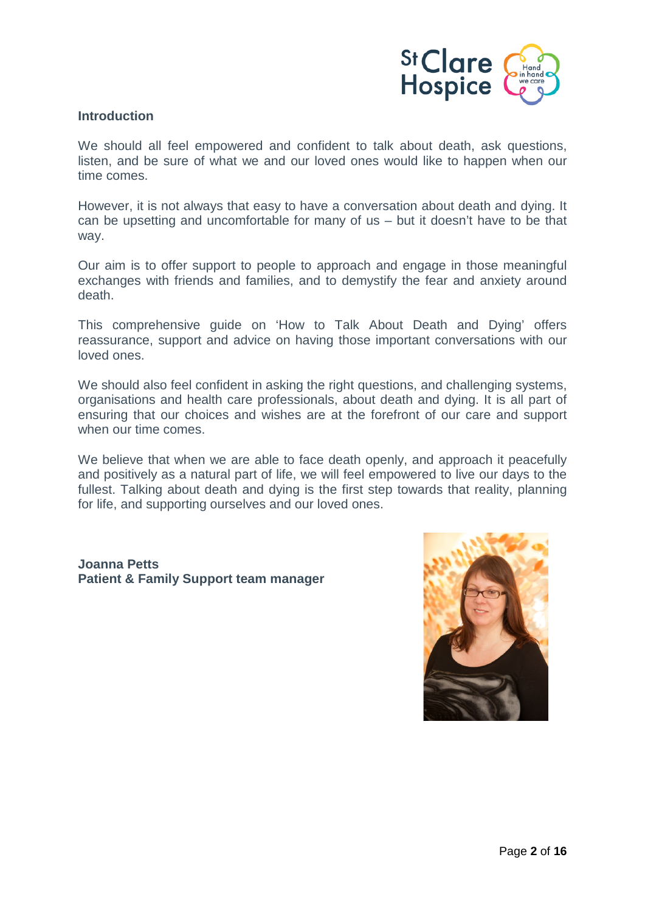

# **Introduction**

We should all feel empowered and confident to talk about death, ask questions, listen, and be sure of what we and our loved ones would like to happen when our time comes.

However, it is not always that easy to have a conversation about death and dying. It can be upsetting and uncomfortable for many of us – but it doesn't have to be that way.

Our aim is to offer support to people to approach and engage in those meaningful exchanges with friends and families, and to demystify the fear and anxiety around death.

This comprehensive guide on 'How to Talk About Death and Dying' offers reassurance, support and advice on having those important conversations with our loved ones.

We should also feel confident in asking the right questions, and challenging systems, organisations and health care professionals, about death and dying. It is all part of ensuring that our choices and wishes are at the forefront of our care and support when our time comes.

We believe that when we are able to face death openly, and approach it peacefully and positively as a natural part of life, we will feel empowered to live our days to the fullest. Talking about death and dying is the first step towards that reality, planning for life, and supporting ourselves and our loved ones.

<span id="page-1-0"></span>**Joanna Petts Patient & Family Support team manager**

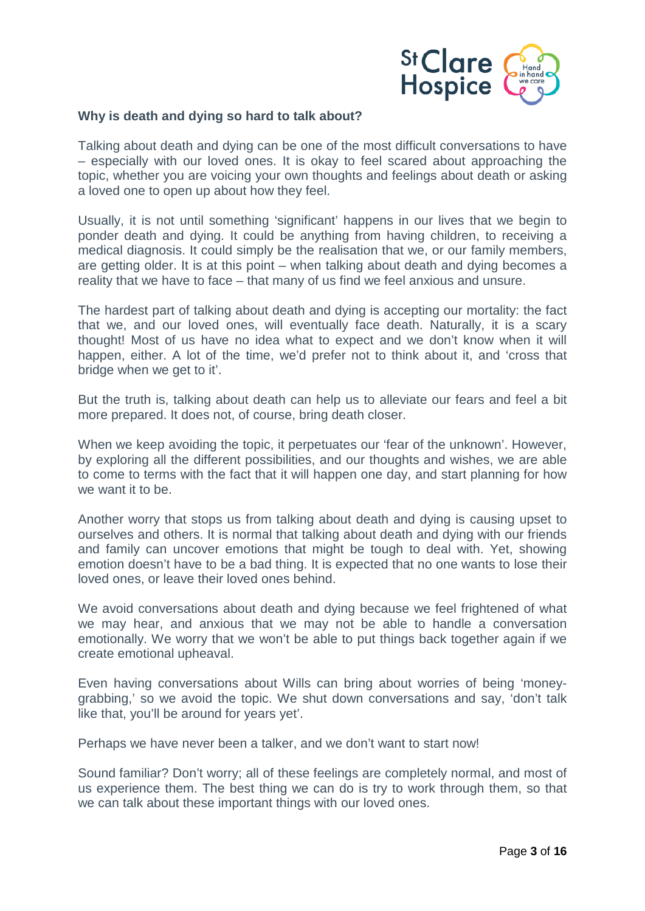

#### **Why is death and dying so hard to talk about?**

Talking about death and dying can be one of the most difficult conversations to have – especially with our loved ones. It is okay to feel scared about approaching the topic, whether you are voicing your own thoughts and feelings about death or asking a loved one to open up about how they feel.

Usually, it is not until something 'significant' happens in our lives that we begin to ponder death and dying. It could be anything from having children, to receiving a medical diagnosis. It could simply be the realisation that we, or our family members, are getting older. It is at this point – when talking about death and dying becomes a reality that we have to face – that many of us find we feel anxious and unsure.

The hardest part of talking about death and dying is accepting our mortality: the fact that we, and our loved ones, will eventually face death. Naturally, it is a scary thought! Most of us have no idea what to expect and we don't know when it will happen, either. A lot of the time, we'd prefer not to think about it, and 'cross that bridge when we get to it'.

But the truth is, talking about death can help us to alleviate our fears and feel a bit more prepared. It does not, of course, bring death closer.

When we keep avoiding the topic, it perpetuates our 'fear of the unknown'. However, by exploring all the different possibilities, and our thoughts and wishes, we are able to come to terms with the fact that it will happen one day, and start planning for how we want it to be.

Another worry that stops us from talking about death and dying is causing upset to ourselves and others. It is normal that talking about death and dying with our friends and family can uncover emotions that might be tough to deal with. Yet, showing emotion doesn't have to be a bad thing. It is expected that no one wants to lose their loved ones, or leave their loved ones behind.

We avoid conversations about death and dying because we feel frightened of what we may hear, and anxious that we may not be able to handle a conversation emotionally. We worry that we won't be able to put things back together again if we create emotional upheaval.

Even having conversations about Wills can bring about worries of being 'moneygrabbing,' so we avoid the topic. We shut down conversations and say, 'don't talk like that, you'll be around for years yet'.

Perhaps we have never been a talker, and we don't want to start now!

<span id="page-2-0"></span>Sound familiar? Don't worry; all of these feelings are completely normal, and most of us experience them. The best thing we can do is try to work through them, so that we can talk about these important things with our loved ones.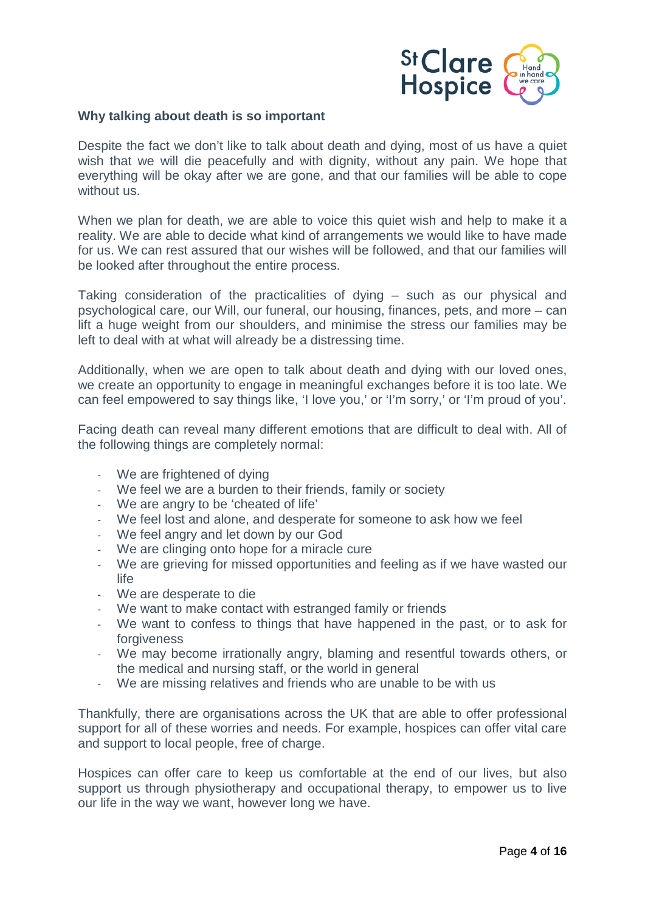

#### **Why talking about death is so important**

Despite the fact we don't like to talk about death and dying, most of us have a quiet wish that we will die peacefully and with dignity, without any pain. We hope that everything will be okay after we are gone, and that our families will be able to cope without us.

When we plan for death, we are able to voice this quiet wish and help to make it a reality. We are able to decide what kind of arrangements we would like to have made for us. We can rest assured that our wishes will be followed, and that our families will be looked after throughout the entire process.

Taking consideration of the practicalities of dying – such as our physical and psychological care, our Will, our funeral, our housing, finances, pets, and more – can lift a huge weight from our shoulders, and minimise the stress our families may be left to deal with at what will already be a distressing time.

Additionally, when we are open to talk about death and dying with our loved ones, we create an opportunity to engage in meaningful exchanges before it is too late. We can feel empowered to say things like, 'I love you,' or 'I'm sorry,' or 'I'm proud of you'.

Facing death can reveal many different emotions that are difficult to deal with. All of the following things are completely normal:

- We are frightened of dying
- We feel we are a burden to their friends, family or society
- We are angry to be 'cheated of life'
- We feel lost and alone, and desperate for someone to ask how we feel
- We feel angry and let down by our God
- We are clinging onto hope for a miracle cure
- We are grieving for missed opportunities and feeling as if we have wasted our life
- We are desperate to die
- We want to make contact with estranged family or friends
- We want to confess to things that have happened in the past, or to ask for forgiveness
- We may become irrationally angry, blaming and resentful towards others, or the medical and nursing staff, or the world in general
- We are missing relatives and friends who are unable to be with us

Thankfully, there are organisations across the UK that are able to offer professional support for all of these worries and needs. For example, hospices can offer vital care and support to local people, free of charge.

Hospices can offer care to keep us comfortable at the end of our lives, but also support us through physiotherapy and occupational therapy, to empower us to live our life in the way we want, however long we have.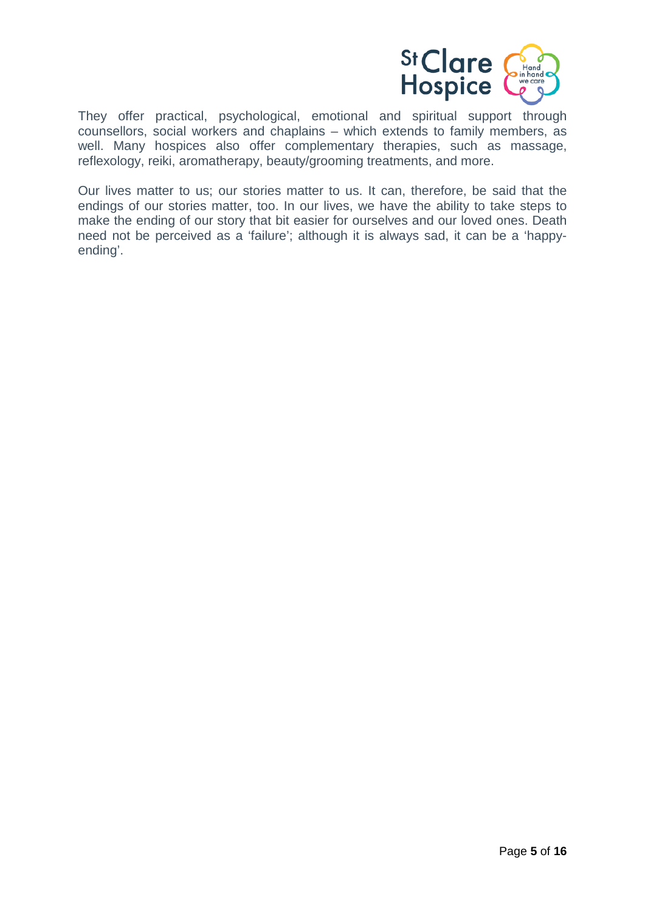

They offer practical, psychological, emotional and spiritual support through counsellors, social workers and chaplains – which extends to family members, as well. Many hospices also offer complementary therapies, such as massage, reflexology, reiki, aromatherapy, beauty/grooming treatments, and more.

<span id="page-4-0"></span>Our lives matter to us; our stories matter to us. It can, therefore, be said that the endings of our stories matter, too. In our lives, we have the ability to take steps to make the ending of our story that bit easier for ourselves and our loved ones. Death need not be perceived as a 'failure'; although it is always sad, it can be a 'happyending'.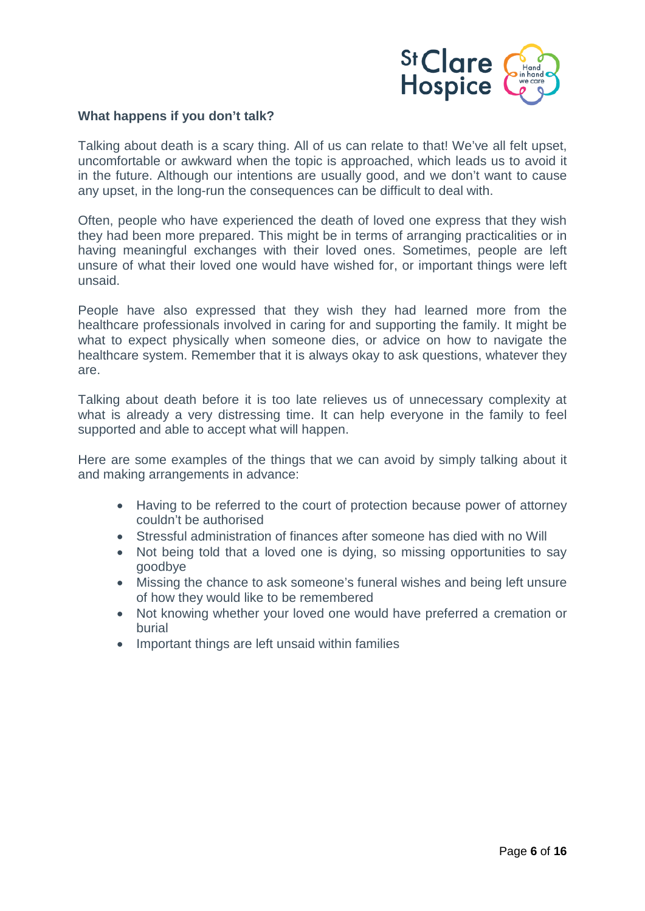

#### **What happens if you don't talk?**

Talking about death is a scary thing. All of us can relate to that! We've all felt upset, uncomfortable or awkward when the topic is approached, which leads us to avoid it in the future. Although our intentions are usually good, and we don't want to cause any upset, in the long-run the consequences can be difficult to deal with.

Often, people who have experienced the death of loved one express that they wish they had been more prepared. This might be in terms of arranging practicalities or in having meaningful exchanges with their loved ones. Sometimes, people are left unsure of what their loved one would have wished for, or important things were left unsaid.

People have also expressed that they wish they had learned more from the healthcare professionals involved in caring for and supporting the family. It might be what to expect physically when someone dies, or advice on how to navigate the healthcare system. Remember that it is always okay to ask questions, whatever they are.

Talking about death before it is too late relieves us of unnecessary complexity at what is already a very distressing time. It can help everyone in the family to feel supported and able to accept what will happen.

Here are some examples of the things that we can avoid by simply talking about it and making arrangements in advance:

- Having to be referred to the court of protection because power of attorney couldn't be authorised
- Stressful administration of finances after someone has died with no Will
- Not being told that a loved one is dying, so missing opportunities to say goodbye
- Missing the chance to ask someone's funeral wishes and being left unsure of how they would like to be remembered
- Not knowing whether your loved one would have preferred a cremation or burial
- <span id="page-5-0"></span>• Important things are left unsaid within families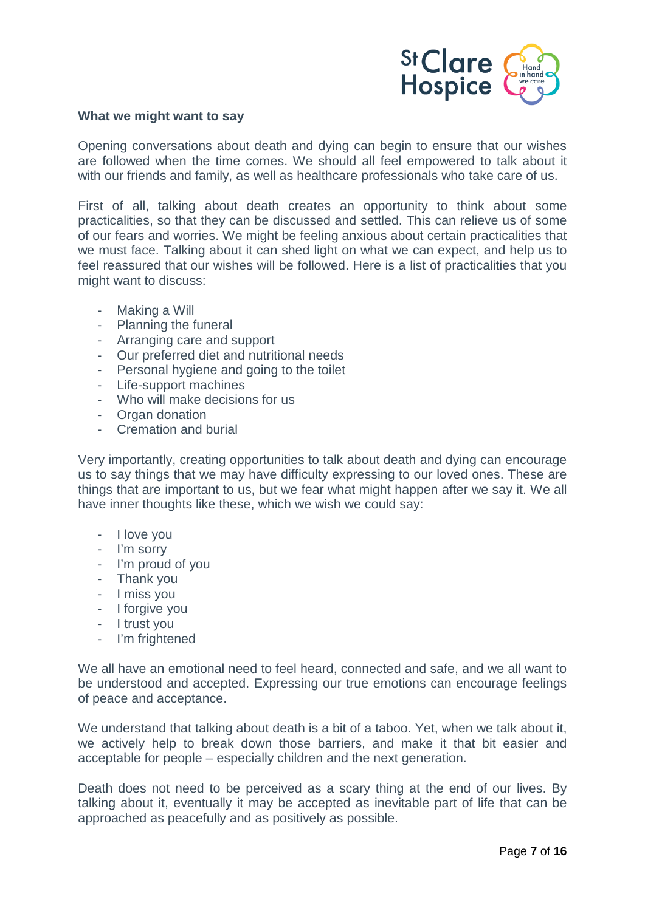

#### **What we might want to say**

Opening conversations about death and dying can begin to ensure that our wishes are followed when the time comes. We should all feel empowered to talk about it with our friends and family, as well as healthcare professionals who take care of us.

First of all, talking about death creates an opportunity to think about some practicalities, so that they can be discussed and settled. This can relieve us of some of our fears and worries. We might be feeling anxious about certain practicalities that we must face. Talking about it can shed light on what we can expect, and help us to feel reassured that our wishes will be followed. Here is a list of practicalities that you might want to discuss:

- Making a Will
- Planning the funeral
- Arranging care and support
- Our preferred diet and nutritional needs
- Personal hygiene and going to the toilet
- Life-support machines
- Who will make decisions for us
- Organ donation
- Cremation and burial

Very importantly, creating opportunities to talk about death and dying can encourage us to say things that we may have difficulty expressing to our loved ones. These are things that are important to us, but we fear what might happen after we say it. We all have inner thoughts like these, which we wish we could say:

- I love you
- I'm sorry
- I'm proud of you
- Thank you
- I miss you
- I forgive you
- I trust you
- I'm frightened

We all have an emotional need to feel heard, connected and safe, and we all want to be understood and accepted. Expressing our true emotions can encourage feelings of peace and acceptance.

We understand that talking about death is a bit of a taboo. Yet, when we talk about it, we actively help to break down those barriers, and make it that bit easier and acceptable for people – especially children and the next generation.

<span id="page-6-0"></span>Death does not need to be perceived as a scary thing at the end of our lives. By talking about it, eventually it may be accepted as inevitable part of life that can be approached as peacefully and as positively as possible.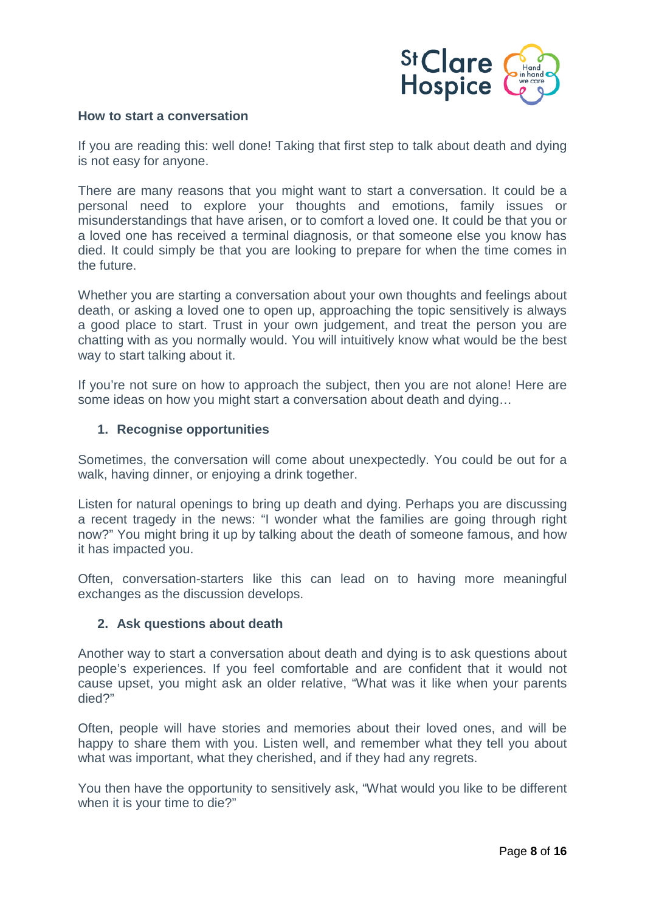

#### **How to start a conversation**

If you are reading this: well done! Taking that first step to talk about death and dying is not easy for anyone.

There are many reasons that you might want to start a conversation. It could be a personal need to explore your thoughts and emotions, family issues or misunderstandings that have arisen, or to comfort a loved one. It could be that you or a loved one has received a terminal diagnosis, or that someone else you know has died. It could simply be that you are looking to prepare for when the time comes in the future.

Whether you are starting a conversation about your own thoughts and feelings about death, or asking a loved one to open up, approaching the topic sensitively is always a good place to start. Trust in your own judgement, and treat the person you are chatting with as you normally would. You will intuitively know what would be the best way to start talking about it.

If you're not sure on how to approach the subject, then you are not alone! Here are some ideas on how you might start a conversation about death and dying...

#### **1. Recognise opportunities**

Sometimes, the conversation will come about unexpectedly. You could be out for a walk, having dinner, or enjoying a drink together.

Listen for natural openings to bring up death and dying. Perhaps you are discussing a recent tragedy in the news: "I wonder what the families are going through right now?" You might bring it up by talking about the death of someone famous, and how it has impacted you.

Often, conversation-starters like this can lead on to having more meaningful exchanges as the discussion develops.

# **2. Ask questions about death**

Another way to start a conversation about death and dying is to ask questions about people's experiences. If you feel comfortable and are confident that it would not cause upset, you might ask an older relative, "What was it like when your parents died?"

Often, people will have stories and memories about their loved ones, and will be happy to share them with you. Listen well, and remember what they tell you about what was important, what they cherished, and if they had any regrets.

You then have the opportunity to sensitively ask, "What would you like to be different when it is your time to die?"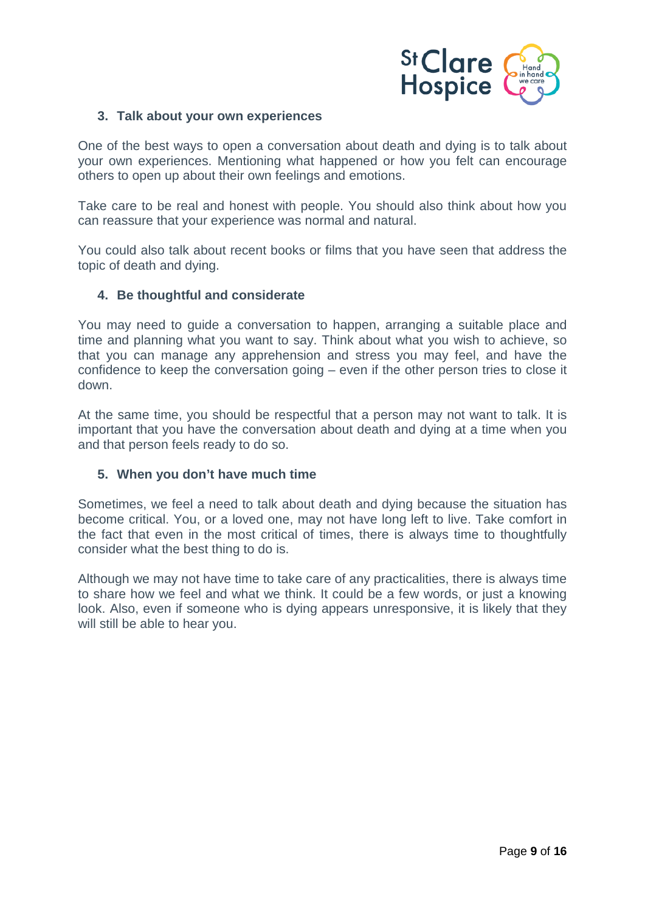

#### **3. Talk about your own experiences**

One of the best ways to open a conversation about death and dying is to talk about your own experiences. Mentioning what happened or how you felt can encourage others to open up about their own feelings and emotions.

Take care to be real and honest with people. You should also think about how you can reassure that your experience was normal and natural.

You could also talk about recent books or films that you have seen that address the topic of death and dying.

#### **4. Be thoughtful and considerate**

You may need to guide a conversation to happen, arranging a suitable place and time and planning what you want to say. Think about what you wish to achieve, so that you can manage any apprehension and stress you may feel, and have the confidence to keep the conversation going – even if the other person tries to close it down.

At the same time, you should be respectful that a person may not want to talk. It is important that you have the conversation about death and dying at a time when you and that person feels ready to do so.

#### **5. When you don't have much time**

Sometimes, we feel a need to talk about death and dying because the situation has become critical. You, or a loved one, may not have long left to live. Take comfort in the fact that even in the most critical of times, there is always time to thoughtfully consider what the best thing to do is.

<span id="page-8-0"></span>Although we may not have time to take care of any practicalities, there is always time to share how we feel and what we think. It could be a few words, or just a knowing look. Also, even if someone who is dying appears unresponsive, it is likely that they will still be able to hear you.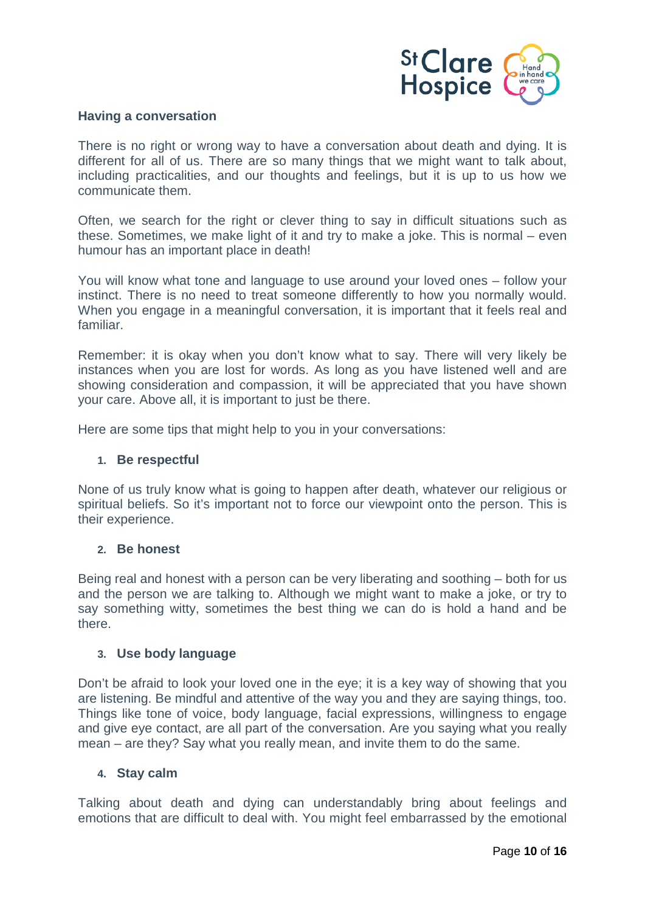

#### **Having a conversation**

There is no right or wrong way to have a conversation about death and dying. It is different for all of us. There are so many things that we might want to talk about, including practicalities, and our thoughts and feelings, but it is up to us how we communicate them.

Often, we search for the right or clever thing to say in difficult situations such as these. Sometimes, we make light of it and try to make a joke. This is normal – even humour has an important place in death!

You will know what tone and language to use around your loved ones – follow your instinct. There is no need to treat someone differently to how you normally would. When you engage in a meaningful conversation, it is important that it feels real and familiar.

Remember: it is okay when you don't know what to say. There will very likely be instances when you are lost for words. As long as you have listened well and are showing consideration and compassion, it will be appreciated that you have shown your care. Above all, it is important to just be there.

Here are some tips that might help to you in your conversations:

#### **1. Be respectful**

None of us truly know what is going to happen after death, whatever our religious or spiritual beliefs. So it's important not to force our viewpoint onto the person. This is their experience.

#### **2. Be honest**

Being real and honest with a person can be very liberating and soothing – both for us and the person we are talking to. Although we might want to make a joke, or try to say something witty, sometimes the best thing we can do is hold a hand and be there.

# **3. Use body language**

Don't be afraid to look your loved one in the eye; it is a key way of showing that you are listening. Be mindful and attentive of the way you and they are saying things, too. Things like tone of voice, body language, facial expressions, willingness to engage and give eye contact, are all part of the conversation. Are you saying what you really mean – are they? Say what you really mean, and invite them to do the same.

# **4. Stay calm**

Talking about death and dying can understandably bring about feelings and emotions that are difficult to deal with. You might feel embarrassed by the emotional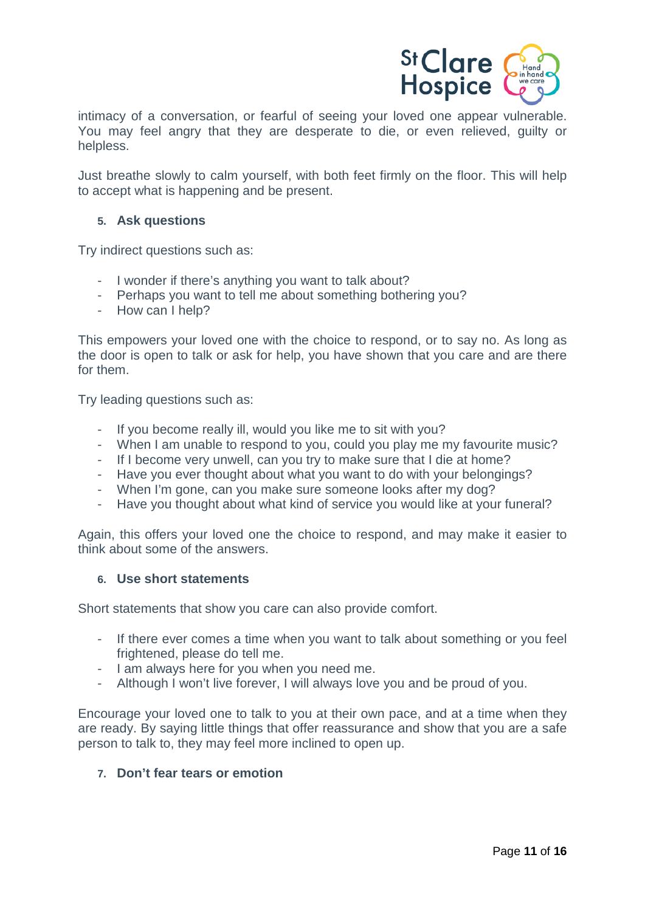

intimacy of a conversation, or fearful of seeing your loved one appear vulnerable. You may feel angry that they are desperate to die, or even relieved, guilty or helpless.

Just breathe slowly to calm yourself, with both feet firmly on the floor. This will help to accept what is happening and be present.

#### **5. Ask questions**

Try indirect questions such as:

- I wonder if there's anything you want to talk about?
- Perhaps you want to tell me about something bothering you?
- How can I help?

This empowers your loved one with the choice to respond, or to say no. As long as the door is open to talk or ask for help, you have shown that you care and are there for them.

Try leading questions such as:

- If you become really ill, would you like me to sit with you?
- When I am unable to respond to you, could you play me my favourite music?
- If I become very unwell, can you try to make sure that I die at home?
- Have you ever thought about what you want to do with your belongings?
- When I'm gone, can you make sure someone looks after my dog?<br>- Have you thought about what kind of service you would like at you
- Have you thought about what kind of service you would like at your funeral?

Again, this offers your loved one the choice to respond, and may make it easier to think about some of the answers.

#### **6. Use short statements**

Short statements that show you care can also provide comfort.

- If there ever comes a time when you want to talk about something or you feel frightened, please do tell me.
- I am always here for you when you need me.
- Although I won't live forever, I will always love you and be proud of you.

Encourage your loved one to talk to you at their own pace, and at a time when they are ready. By saying little things that offer reassurance and show that you are a safe person to talk to, they may feel more inclined to open up.

# **7. Don't fear tears or emotion**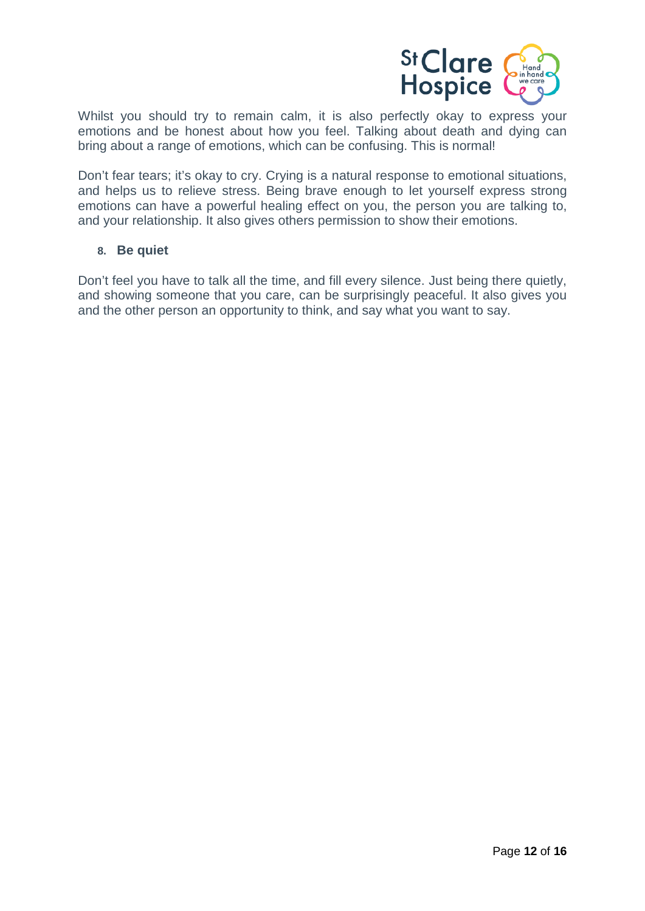

Whilst you should try to remain calm, it is also perfectly okay to express your emotions and be honest about how you feel. Talking about death and dying can bring about a range of emotions, which can be confusing. This is normal!

Don't fear tears; it's okay to cry. Crying is a natural response to emotional situations, and helps us to relieve stress. Being brave enough to let yourself express strong emotions can have a powerful healing effect on you, the person you are talking to, and your relationship. It also gives others permission to show their emotions.

#### **8. Be quiet**

<span id="page-11-0"></span>Don't feel you have to talk all the time, and fill every silence. Just being there quietly, and showing someone that you care, can be surprisingly peaceful. It also gives you and the other person an opportunity to think, and say what you want to say.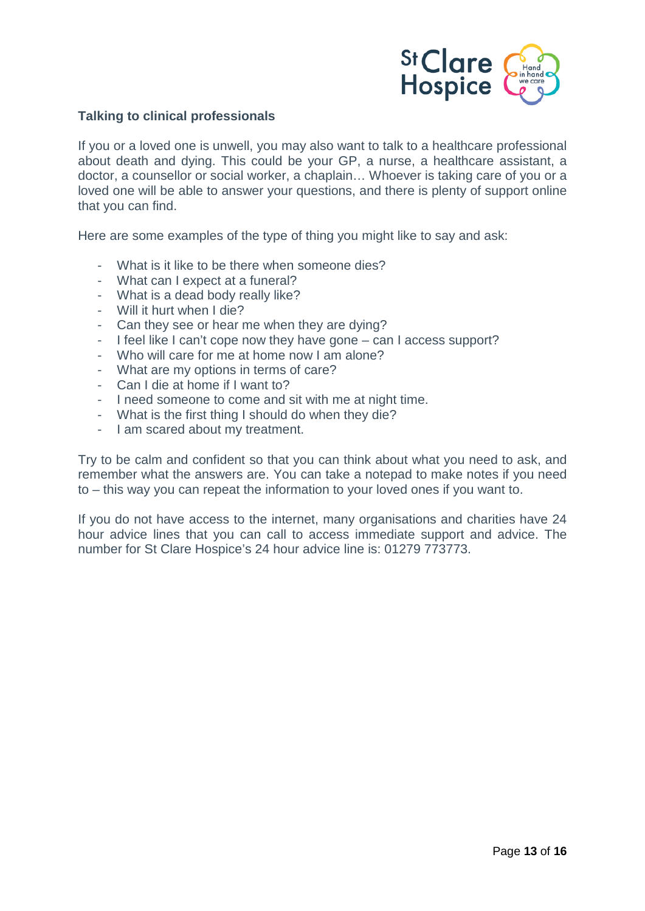

### **Talking to clinical professionals**

If you or a loved one is unwell, you may also want to talk to a healthcare professional about death and dying. This could be your GP, a nurse, a healthcare assistant, a doctor, a counsellor or social worker, a chaplain… Whoever is taking care of you or a loved one will be able to answer your questions, and there is plenty of support online that you can find.

Here are some examples of the type of thing you might like to say and ask:

- What is it like to be there when someone dies?
- What can I expect at a funeral?
- What is a dead body really like?
- Will it hurt when I die?
- Can they see or hear me when they are dying?
- I feel like I can't cope now they have gone can I access support?
- Who will care for me at home now I am alone?
- What are my options in terms of care?
- Can I die at home if I want to?
- I need someone to come and sit with me at night time.
- What is the first thing I should do when they die?
- I am scared about my treatment.

Try to be calm and confident so that you can think about what you need to ask, and remember what the answers are. You can take a notepad to make notes if you need to – this way you can repeat the information to your loved ones if you want to.

<span id="page-12-0"></span>If you do not have access to the internet, many organisations and charities have 24 hour advice lines that you can call to access immediate support and advice. The number for St Clare Hospice's 24 hour advice line is: 01279 773773.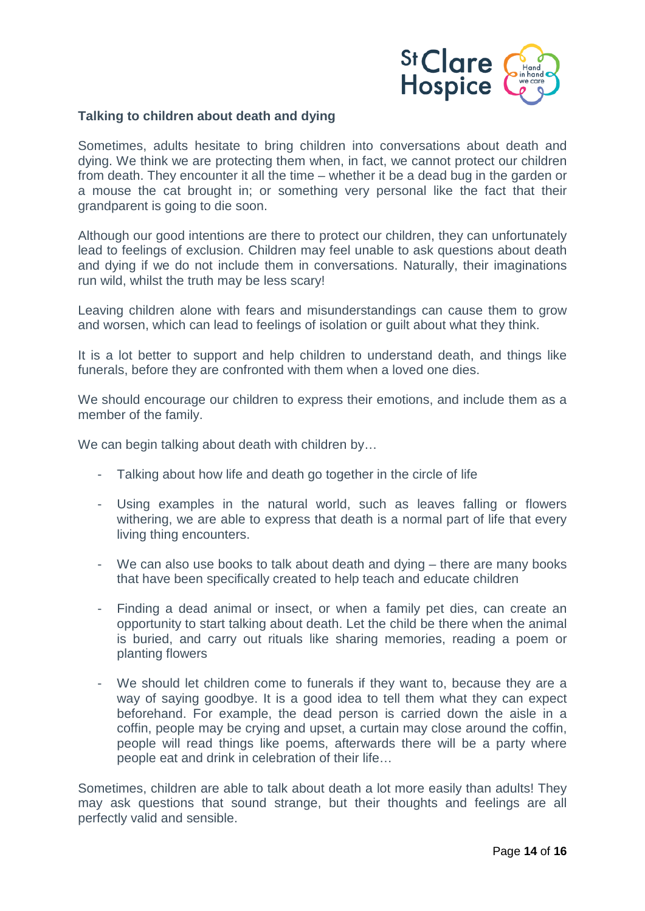

#### **Talking to children about death and dying**

Sometimes, adults hesitate to bring children into conversations about death and dying. We think we are protecting them when, in fact, we cannot protect our children from death. They encounter it all the time – whether it be a dead bug in the garden or a mouse the cat brought in; or something very personal like the fact that their grandparent is going to die soon.

Although our good intentions are there to protect our children, they can unfortunately lead to feelings of exclusion. Children may feel unable to ask questions about death and dying if we do not include them in conversations. Naturally, their imaginations run wild, whilst the truth may be less scary!

Leaving children alone with fears and misunderstandings can cause them to grow and worsen, which can lead to feelings of isolation or guilt about what they think.

It is a lot better to support and help children to understand death, and things like funerals, before they are confronted with them when a loved one dies.

We should encourage our children to express their emotions, and include them as a member of the family.

We can begin talking about death with children by...

- Talking about how life and death go together in the circle of life
- Using examples in the natural world, such as leaves falling or flowers withering, we are able to express that death is a normal part of life that every living thing encounters.
- We can also use books to talk about death and dying there are many books that have been specifically created to help teach and educate children
- Finding a dead animal or insect, or when a family pet dies, can create an opportunity to start talking about death. Let the child be there when the animal is buried, and carry out rituals like sharing memories, reading a poem or planting flowers
- We should let children come to funerals if they want to, because they are a way of saying goodbye. It is a good idea to tell them what they can expect beforehand. For example, the dead person is carried down the aisle in a coffin, people may be crying and upset, a curtain may close around the coffin, people will read things like poems, afterwards there will be a party where people eat and drink in celebration of their life…

Sometimes, children are able to talk about death a lot more easily than adults! They may ask questions that sound strange, but their thoughts and feelings are all perfectly valid and sensible.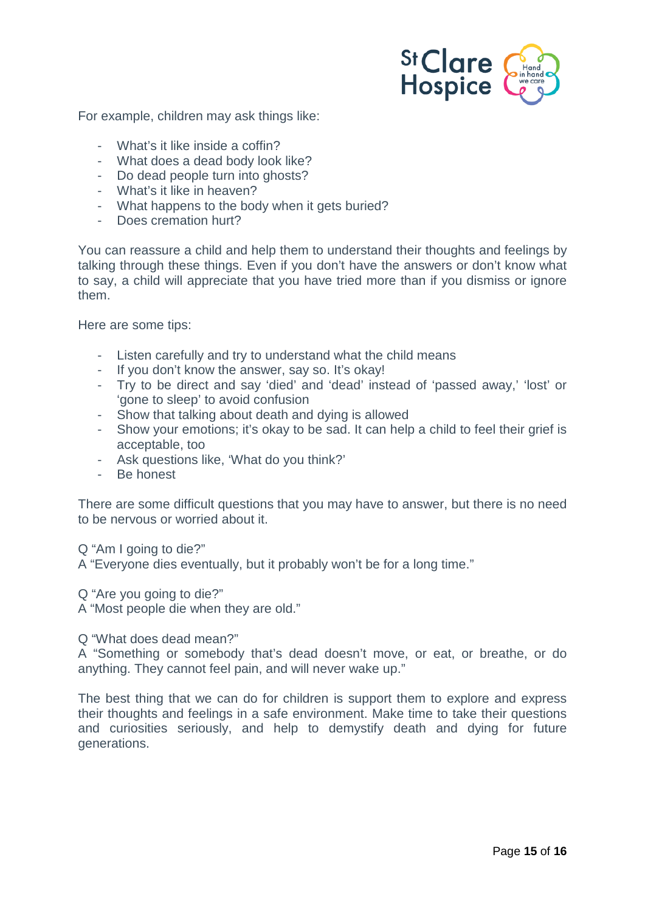

For example, children may ask things like:

- What's it like inside a coffin?
- What does a dead body look like?
- Do dead people turn into ghosts?
- What's it like in heaven?
- What happens to the body when it gets buried?
- Does cremation hurt?

You can reassure a child and help them to understand their thoughts and feelings by talking through these things. Even if you don't have the answers or don't know what to say, a child will appreciate that you have tried more than if you dismiss or ignore them.

Here are some tips:

- Listen carefully and try to understand what the child means
- If you don't know the answer, say so. It's okay!
- Try to be direct and say 'died' and 'dead' instead of 'passed away,' 'lost' or 'gone to sleep' to avoid confusion
- Show that talking about death and dying is allowed
- Show your emotions; it's okay to be sad. It can help a child to feel their grief is acceptable, too
- Ask questions like, 'What do you think?'
- Be honest

There are some difficult questions that you may have to answer, but there is no need to be nervous or worried about it.

Q "Am I going to die?"

A "Everyone dies eventually, but it probably won't be for a long time."

Q "Are you going to die?"

A "Most people die when they are old."

Q "What does dead mean?"

A "Something or somebody that's dead doesn't move, or eat, or breathe, or do anything. They cannot feel pain, and will never wake up."

<span id="page-14-0"></span>The best thing that we can do for children is support them to explore and express their thoughts and feelings in a safe environment. Make time to take their questions and curiosities seriously, and help to demystify death and dying for future generations.